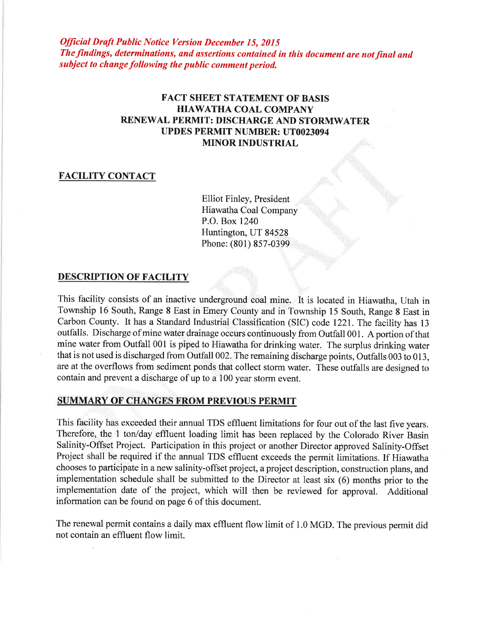Official Draft Public Notice Version December 15, 2015 The findings, determinations, and assertions contained in this document are not final and subject to change following the public comment period.

# FACT SHEET STATEMENT OF BASIS HIAWATHA COAL COMPANY RENEWAL PERMIT: DISCHARGE AND STORMWATER UPDES PERMIT NUMBER: UT0023094 MINOR INDUSTRIAL

### FACILITY CONTACT

Elliot Finley, President Hiawatha Coal Company P.O. Box 1240 Huntington, UT 84528 Phone: (801) 857-0399

# DESCRIPTION OF FACILITY

This facility consists of an inactive underground coal mine. It is located in Hiawatha, Utah in Township 16 South, Range 8 East in Emery County and in Township 15 South, Range 8 East in Carbon County. It has a Standard Industrial Classification (SIC) code 1221. The facility has <sup>13</sup> outfalls. Discharge of mine water drainage occurs continuously from Outfall 001. A portion of that mine water from Outfall 001 is piped to Hiawatha for drinking water. The surplus drinking water that is not used is discharged from Outfall 002. The remaining discharge points, Outfalls 003 to 013, are at the overflows from sediment ponds that collect storm water. These outfalls are designed to contain and prevent a discharge of up to a 100 year storm event.

# SUMMARY OF CHANGES FROM PREVIOUS PERMIT

This facility has exceeded their annual TDS effluent limitations for four out of the last five years. Therefore, the I ton/day effluent loading limit has been replaced by the Colorado River Basin Salinity-Offset Project. Participation in this project or another Director approved Salinity-Offset Project shall be required if the annual TDS effluent exceeds the permit limitations. If Hiawatha chooses to participate in a new salinity-offset project, a project description, construction plans, and implementation schedule shall be submitted to the Director at least six (6) months prior to the implementation date of the project, which will then be reviewed for approval. Additional information can be found on page 6 of this document.

The renewal permit contains a daily max effluent flow limit of 1.0 MGD. The previous permit did not contain an effluent flow limit.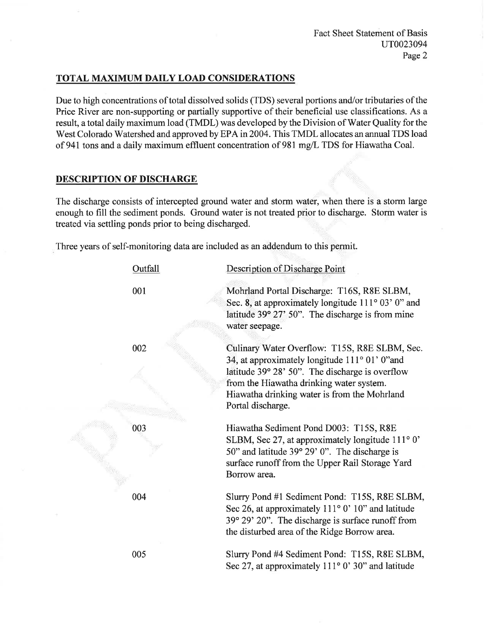# TOTAL MAXIMUM DAILY LOAD CONSIDERATIONS

Due to high concentrations of total dissolved solids (TDS) several portions and/or tributaries of the Price River are non-supporting or partially supportive of their beneficial use classifications. As a result, a total daily maximum load (TMDL) was developed by the Division of Water Quality for the West Colorado Watershed and approved by EPA in 2004. This TMDL allocates an annual TDS load of 941 tons and a daily maximum effluent concentration of 981 mg/L TDS for Hiawatha Coal.

# DESCRIPTION OF DISCHARGE

The discharge consists of intercepted ground water and storm water, when there is a storm large enough to fill the sediment ponds. Ground water is not treated prior to discharge. Storm water is treated via settling ponds prior to being discharged.

Three years of self-monitoring data are included as an addendum to this permit.

| Outfall | Description of Discharge Point                                                                                                                                                                                                                                      |
|---------|---------------------------------------------------------------------------------------------------------------------------------------------------------------------------------------------------------------------------------------------------------------------|
| 001     | Mohrland Portal Discharge: T16S, R8E SLBM,<br>Sec. 8, at approximately longitude $111^{\circ}$ 03' 0" and<br>latitude 39° 27' 50". The discharge is from mine<br>water seepage.                                                                                     |
| 002     | Culinary Water Overflow: T15S, R8E SLBM, Sec.<br>34, at approximately longitude 111° 01' 0" and<br>latitude 39° 28' 50". The discharge is overflow<br>from the Hiawatha drinking water system.<br>Hiawatha drinking water is from the Mohrland<br>Portal discharge. |
| 003     | Hiawatha Sediment Pond D003: T15S, R8E<br>SLBM, Sec 27, at approximately longitude 111° 0'<br>50" and latitude 39° 29' 0". The discharge is<br>surface runoff from the Upper Rail Storage Yard<br>Borrow area.                                                      |
| 004     | Slurry Pond #1 Sediment Pond: T15S, R8E SLBM,<br>Sec 26, at approximately $111°0'$ 10" and latitude<br>39° 29' 20". The discharge is surface runoff from<br>the disturbed area of the Ridge Borrow area.                                                            |
| 005     | Slurry Pond #4 Sediment Pond: T15S, R8E SLBM,<br>Sec 27, at approximately 111° 0' 30" and latitude                                                                                                                                                                  |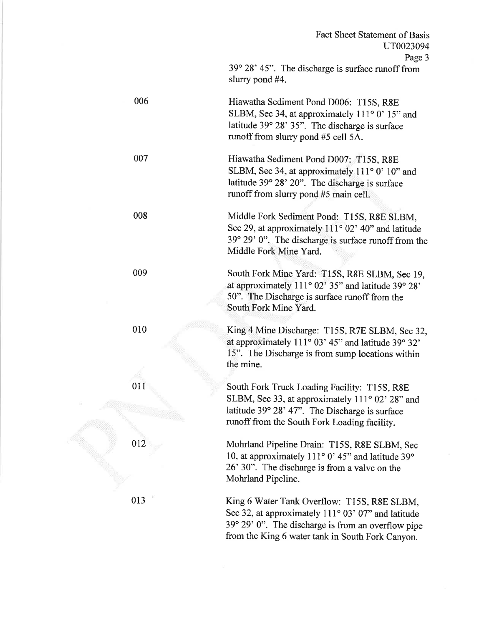39" 28'45". The discharge is surface runoff from slurry pond #4.

Hiawatha Sediment Pond D006: T15S, R8E SLBM, Sec 34, at approximately  $111^{\circ}$  0' 15" and latitude  $39^{\circ}$  28'  $35$ ". The discharge is surface runoff from slurry pond #5 cell 5A.

> Hiawatha Sediment Pond D007: T15S, R8E SLBM, Sec 34, at approximately  $111°0'$  10" and latitude 39° 28' 20". The discharge is surface runoff from slurry pond #5 main cell.

Middle Fork Sediment Pond: T15S, R8E SLBM, Sec 29, at approximately  $111^{\circ}$  02' 40" and latitude  $39^{\circ}$  29' 0". The discharge is surface runoff from the Middle Fork Mine Yard.

> South Fork Mine Yard: T15S, R8E SLBM, Sec 19, at approximately  $111^{\circ}$  02' 35" and latitude 39 $^{\circ}$  28' 50". The Discharge is surface runoff from the South Fork Mine Yard.

King 4 Mine Discharge: Tl5S, R7E SLBM, Sec 32, at approximately  $111^{\circ}$  03' 45" and latitude 39 $^{\circ}$  32' 15". The Discharge is from sump locations within the mine.

South Fork Truck Loading Facility: T15S, R8E SLBM, Sec 33, at approximately  $111^{\circ}$  02' 28" and latitude 39° 28' 47". The Discharge is surface runoff from the South Fork Loading facility.

Mohrland Pipeline Drain: T15S, R8E SLBM, Sec 10, at approximately 111 $\degree$  0' 45" and latitude 39 $\degree$ 26' 30". The discharge is from a valve on the Mohrland Pipeline.

King 6 Water Tank Overflow: T15S, R8E SLBM, Sec 32, at approximately  $111^{\circ}$  03' 07" and latitude  $39^{\circ}$  29' 0". The discharge is from an overflow pipe from the King 6 water tank in South Fork Canyon.



006

007

008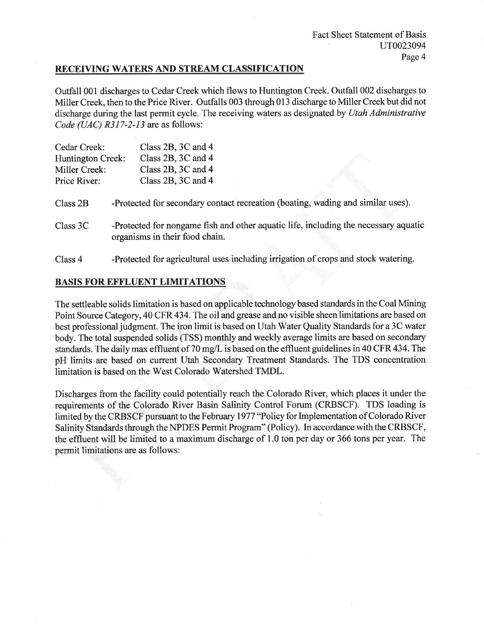### RECEIVING WATERS AND STREAM CLASSIFICATION

Outfall 001 discharges to Cedar Creek which flows to Huntington Creek. Outfall 002 discharges to Miller Creek, then to the Price River. Outfalls 003 through 013 discharge to Miller Creek but did not discharge during the last permit cycle. The receiving waters as designated by Utah Administrative Code (UAC)  $R317-2-13$  are as follows:

| Cedar Creek:      | Class 2B, 3C and 4                                                                                                    |
|-------------------|-----------------------------------------------------------------------------------------------------------------------|
| Huntington Creek: | Class 2B, 3C and 4                                                                                                    |
| Miller Creek:     | Class 2B, 3C and 4                                                                                                    |
| Price River:      | Class 2B, 3C and 4                                                                                                    |
| Class 2B          | -Protected for secondary contact recreation (boating, wading and similar uses).                                       |
| Class 3C          | -Protected for nongame fish and other aquatic life, including the necessary aquatic<br>organisms in their food chain. |
| Class 4           | -Protected for agricultural uses including irrigation of crops and stock watering.                                    |

# BASIS FOR EFFLUENT LIMITATIONS

The settleable solids limitation is based on applicable technology based standards in the Coal Mining Point Source Category, 40 CFR 434.The oil and grease and no visible sheen limitations are based on best professional judgment. The iron limit is based on Utah Water Quality Standards for a 3C water body. The total suspended solids (TSS) monthly and weekly average limits are based on secondary standards. The daily max effluent of 70 mg/L is based on the effluent guidelines in 40 CFR 434. The pH limits are based on current Utah Secondary Treatment Standards. The TDS concentration limitation is based on the West Colorado Watershed TMDL.

Discharges from the facility could potentially reach the Colorado River, which places it under the requirements of the Colorado River Basin Salinity Control Forum (CRBSCF). TDS loading is limited by the CRBSCF pursuant to the February 1977 "Policy for Implementation of Colorado River Salinity Standards through the NPDES Permit Program" (Policy). In accordance with the CRBSCF, the effluent will be limited to a maximum discharge of 1.0 ton per day or 366 tons per year. The permit limitations are as follows: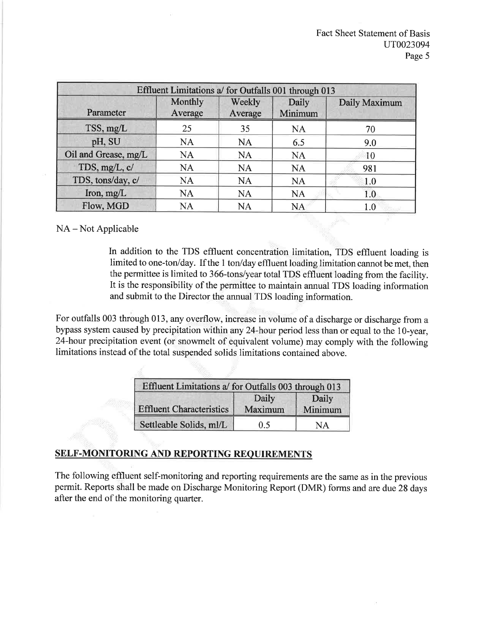| Effluent Limitations a/ for Outfalls 001 through 013 |                    |                   |                  |               |  |  |
|------------------------------------------------------|--------------------|-------------------|------------------|---------------|--|--|
| Parameter                                            | Monthly<br>Average | Weekly<br>Average | Daily<br>Minimum | Daily Maximum |  |  |
| TSS, mg/L                                            | 25                 | 35                | <b>NA</b>        | 70            |  |  |
| pH, SU                                               | <b>NA</b>          | <b>NA</b>         | 6.5              | 9.0           |  |  |
| Oil and Grease, mg/L                                 | <b>NA</b>          | <b>NA</b>         | <b>NA</b>        | 10            |  |  |
| TDS, mg/L, c/                                        | <b>NA</b>          | <b>NA</b>         | <b>NA</b>        | 981           |  |  |
| TDS, tons/day, c/                                    | <b>NA</b>          | <b>NA</b>         | <b>NA</b>        | 1.0           |  |  |
| Iron, $mg/L$                                         | <b>NA</b>          | <b>NA</b>         | <b>NA</b>        | 1.0           |  |  |
| Flow, MGD                                            | <b>NA</b>          | <b>NA</b>         | <b>NA</b>        | 1.0           |  |  |

# NA – Not Applicable

In addition to the TDS effluent concentration limitation, TDS effluent loading is limited to one-ton/day. If the I ton/day effluent loading limitation cannot be met, then the permittee is limited to 366-tons/year total TDS effluent loading from the facility. It is the responsibility of the permittee to maintain annual TDS loading information and submit to the Director the annual TDS loading information.

For outfalls 003 through 013, any overflow, increase in volume of a discharge or discharge from <sup>a</sup> bypass system caused by precipitation within any 24-hour period less than or equal to the 10-year, 24-hour precipitation event (or snowmelt of equivalent volume) may comply with the following limitations instead of the total suspended solids limitations contained above.

| Effluent Limitations a/ for Outfalls 003 through 013 |                  |                  |  |  |
|------------------------------------------------------|------------------|------------------|--|--|
| <b>Effluent Characteristics</b>                      | Daily<br>Maximum | Daily<br>Minimum |  |  |
| Settleable Solids, ml/L                              | 0.5              | NΑ               |  |  |

# SELF-MONITORING AND REPORTING REQUIREMENTS

The following effluent self-monitoring and reporting requirements are the same as in the previous permit. Reports shall be made on Discharge Monitoring Report (DMR) forms and are due 28 days after the end of the monitoring quarter.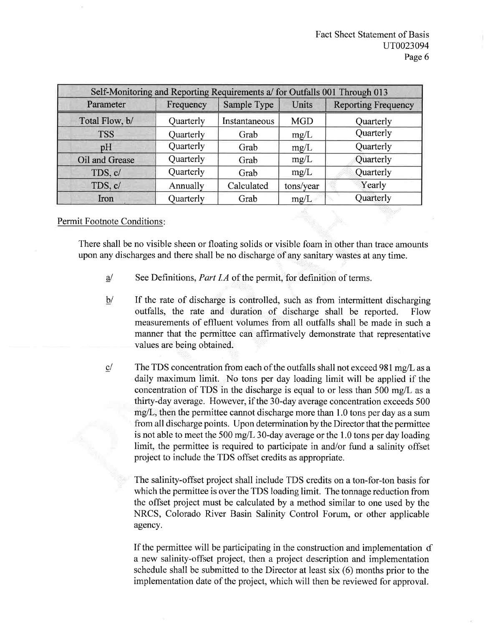| Self-Monitoring and Reporting Requirements a/ for Outfalls 001 Through 013 |           |               |              |                            |  |  |
|----------------------------------------------------------------------------|-----------|---------------|--------------|----------------------------|--|--|
| Parameter                                                                  | Frequency | Sample Type   | <b>Units</b> | <b>Reporting Frequency</b> |  |  |
| Total Flow, b/                                                             | Quarterly | Instantaneous | <b>MGD</b>   | Quarterly                  |  |  |
| <b>TSS</b>                                                                 | Quarterly | Grab          | mg/L         | Quarterly                  |  |  |
| pH                                                                         | Quarterly | Grab          | mg/L         | Quarterly                  |  |  |
| Oil and Grease                                                             | Quarterly | Grab          | mg/L         | Quarterly                  |  |  |
| TDS, c/                                                                    | Quarterly | Grab          | mg/L         | Quarterly                  |  |  |
| TDS, c/                                                                    | Annually  | Calculated    | tons/year    | Yearly                     |  |  |
| Iron                                                                       | Quarterly | Grab          | mg/L         | Quarterly                  |  |  |

Permit Footnote Conditions

There shall be no visible sheen or floating solids or visible foam in other than trace amounts upon any discharges and there shall be no discharge of any sanitary wastes at any time.

- See Definitions, *Part I.A* of the permit, for definition of terms.  $a$
- If the rate of discharge is controlled, such as from intermittent discharging outfalls, the rate and duration of discharge shall be reported. Flow measurements of effluent volumes from all outfalls shall be made in such a manner that the permittee can affirmatively demonstrate that representative values are being obtained.  $b/$
- The TDS concentration from each of the outfalls shall not exceed 981 mg/L as a daily maximum limit. No tons per day loading limit will be applied if the concentration of TDS in the discharge is equal to or less than  $500 \text{ mg/L}$  as a thirty-day average. However, if the 30-day average concentration exceeds 500 mg/L, then the permittee cannot discharge more than 1.0 tons per day as a sum from all discharge points. Upon determination by the Director that the permittee is not able to meet the 500 mg/L 30-day average or the 1.0 tons per day loading limit, the permittee is required to participate in and/or fund a salinity offset project to include the TDS offset credits as appropriate.  $\ensuremath{\text{c}}\xspace/$

The salinity-offset project shall include TDS credits on a ton-for-ton basis for which the permittee is over the TDS loading limit. The tonnage reduction from the offset project must be calculated by a method similar to one used by the NRCS, Colorado River Basin Salinity Control Forum, or other applicable agency.

If the permittee will be participating in the construction and implementation  $d$ a new salinity-offset project, then a project description and implementation schedule shall be submitted to the Director at least six (6) months prior to the implementation date of the project, which will then be reviewed for approval.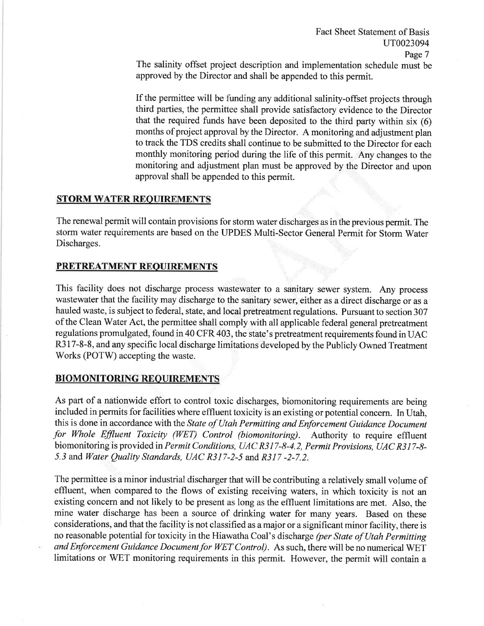The salinity offset project description and implementation schedule must be approved by the Director and shall be appended to this permit.

If the permittee will be funding any additional salinity-ofßet projects through third parties, the permittee shall provide satisfactory evidence to the Director that the required funds have been deposited to the third party within six (6) months of project approval by the Director. A monitoring and adjustment plan to track the TDS credits shall continue to be submitted to the Director for each monthly monitoring period during the life of this permit. Any changes to the monitoring and adjustment plan must be approved by the Director and upon approval shall be appended to this permit.

## STORM WATER REOUIREMENTS

The renewal permit will contain provisions for storm water discharges as in the previous permit. The storm water requirements are based on the UPDES Multi-Sector General Permit for Storm Water Discharges.

#### PRETREATMENT REOUIREMENTS

This facility does not discharge process wastewater to a sanitary sewer system. Any process wastewater that the facility may discharge to the sanitary sewer, either as a direct discharge or as a hauled waste, is subject to federal, state, and local pretreatment regulations. Pursuant to section 307 of the Clean Water Act, the permittee shall comply with all applicable federal general pretreatment regulations promulgated, found in 40 CFR 403, the state's pretreatment requirements found inUAC R3 17-8-8, and any specific local discharge limitations developed by the Publicly Owned Treatment Works (POTW) accepting the waste.

# BIOMONITORING REQUIREMENTS

As part of a nationwide effort to control toxic discharges, biomonitoring requirements are being included in permits for facilities where effluent toxicity is an existing or potential concern. In Utah, this is done in accordance with the State of Utah Permitting and Enforcement Guidance Document for Whole Effluent Toxicity (WET) Control (biomonitoring). Authority to require effluent biomonitoring is provided in Permit Conditions, UAC R3 I7-8-4.2, Permit Provisions, UAC R3I7-8- 5.3 and Water Quality Standards, UAC R317-2-5 and R317-2-7.2.

The permittee is a minor industrial discharger that will be contributing a relatively small volume of effluent, when compared to the flows of existing receiving waters, in which toxicity is not an existing concern and not likely to be present as long as the effluent limitations are met. Also, the mine water discharge has been a source of drinking water for many years. Based on these considerations, and that the facility is not classified as a major or a significant minor facility, there is no reasonable potential for toxicity in the Hiawatha Coal's discharge (per State of Utah Permitting and Enforcement Guidance Document for WET Control). As such, there will be no numerical WET limitations or WET monitoring requirements in this permit. However, the permit will contain a